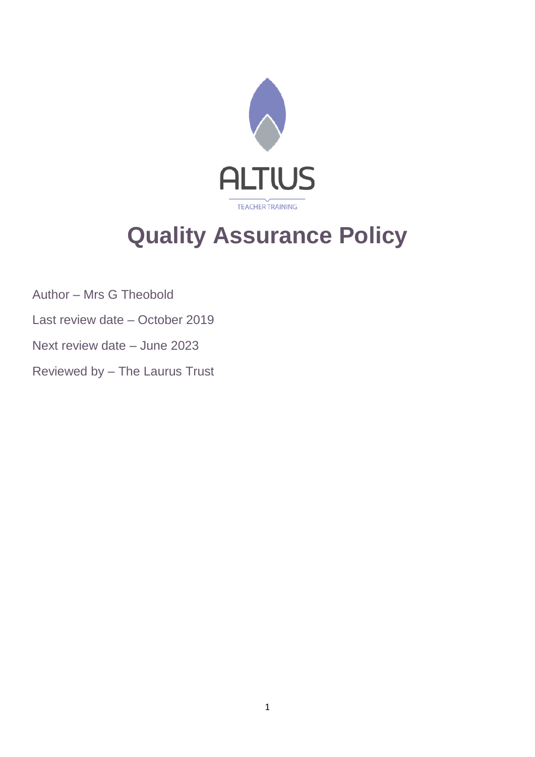

# **Quality Assurance Policy**

Author – Mrs G Theobold

- Last review date October 2019
- Next review date June 2023

Reviewed by – The Laurus Trust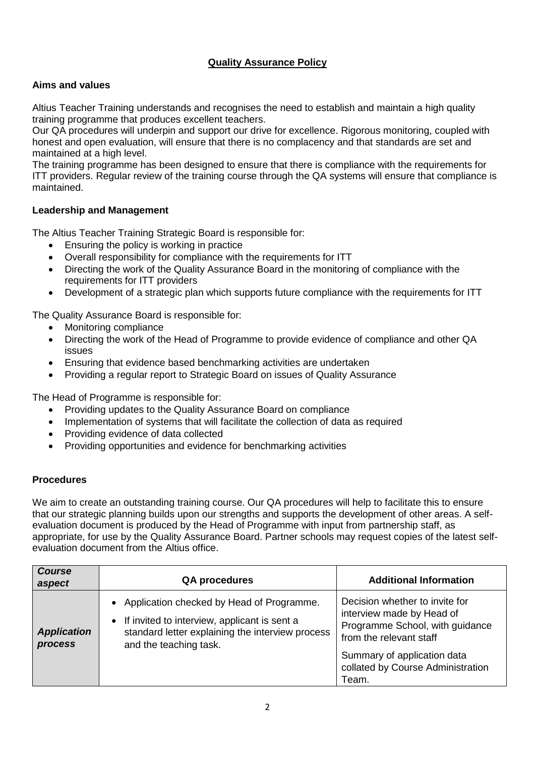## **Quality Assurance Policy**

## **Aims and values**

Altius Teacher Training understands and recognises the need to establish and maintain a high quality training programme that produces excellent teachers.

Our QA procedures will underpin and support our drive for excellence. Rigorous monitoring, coupled with honest and open evaluation, will ensure that there is no complacency and that standards are set and maintained at a high level.

The training programme has been designed to ensure that there is compliance with the requirements for ITT providers. Regular review of the training course through the QA systems will ensure that compliance is maintained.

### **Leadership and Management**

The Altius Teacher Training Strategic Board is responsible for:

- Ensuring the policy is working in practice
- Overall responsibility for compliance with the requirements for ITT
- Directing the work of the Quality Assurance Board in the monitoring of compliance with the requirements for ITT providers
- Development of a strategic plan which supports future compliance with the requirements for ITT

The Quality Assurance Board is responsible for:

- Monitoring compliance
- Directing the work of the Head of Programme to provide evidence of compliance and other QA issues
- Ensuring that evidence based benchmarking activities are undertaken
- Providing a regular report to Strategic Board on issues of Quality Assurance

The Head of Programme is responsible for:

- Providing updates to the Quality Assurance Board on compliance
- Implementation of systems that will facilitate the collection of data as required
- Providing evidence of data collected
- Providing opportunities and evidence for benchmarking activities

#### **Procedures**

We aim to create an outstanding training course. Our QA procedures will help to facilitate this to ensure that our strategic planning builds upon our strengths and supports the development of other areas. A selfevaluation document is produced by the Head of Programme with input from partnership staff, as appropriate, for use by the Quality Assurance Board. Partner schools may request copies of the latest selfevaluation document from the Altius office.

| <b>Course</b><br>aspect              | <b>QA procedures</b>                                                                                                                                                        | <b>Additional Information</b>                                                                                                                                                                          |
|--------------------------------------|-----------------------------------------------------------------------------------------------------------------------------------------------------------------------------|--------------------------------------------------------------------------------------------------------------------------------------------------------------------------------------------------------|
| <b>Application</b><br><b>process</b> | • Application checked by Head of Programme.<br>• If invited to interview, applicant is sent a<br>standard letter explaining the interview process<br>and the teaching task. | Decision whether to invite for<br>interview made by Head of<br>Programme School, with guidance<br>from the relevant staff<br>Summary of application data<br>collated by Course Administration<br>Team. |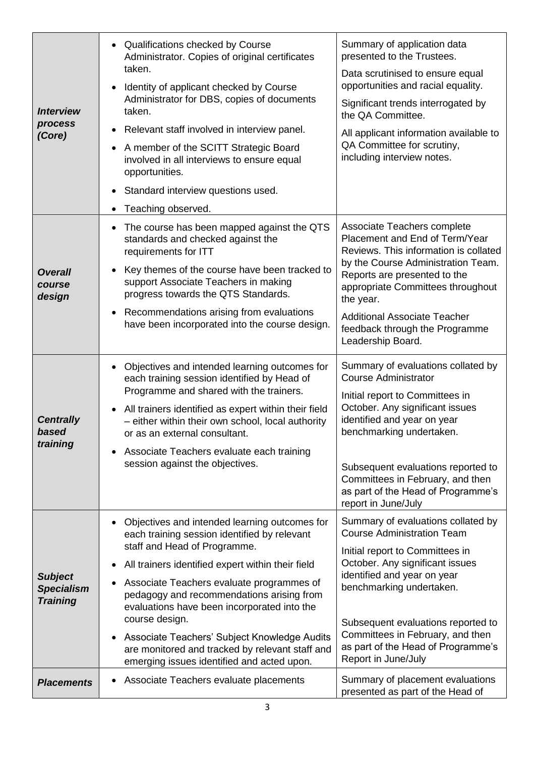| <b>Interview</b><br>process<br>(Core)                  | • Qualifications checked by Course<br>Administrator. Copies of original certificates<br>taken.<br>Identity of applicant checked by Course<br>Administrator for DBS, copies of documents<br>taken.<br>Relevant staff involved in interview panel.<br>$\bullet$<br>A member of the SCITT Strategic Board<br>$\bullet$<br>involved in all interviews to ensure equal<br>opportunities.<br>Standard interview questions used.<br>$\bullet$<br>Teaching observed.<br>$\bullet$                                                     | Summary of application data<br>presented to the Trustees.<br>Data scrutinised to ensure equal<br>opportunities and racial equality.<br>Significant trends interrogated by<br>the QA Committee.<br>All applicant information available to<br>QA Committee for scrutiny,<br>including interview notes.                                            |
|--------------------------------------------------------|-------------------------------------------------------------------------------------------------------------------------------------------------------------------------------------------------------------------------------------------------------------------------------------------------------------------------------------------------------------------------------------------------------------------------------------------------------------------------------------------------------------------------------|-------------------------------------------------------------------------------------------------------------------------------------------------------------------------------------------------------------------------------------------------------------------------------------------------------------------------------------------------|
| <b>Overall</b><br>course<br>design                     | The course has been mapped against the QTS<br>standards and checked against the<br>requirements for ITT<br>Key themes of the course have been tracked to<br>$\bullet$<br>support Associate Teachers in making<br>progress towards the QTS Standards.<br>Recommendations arising from evaluations<br>$\bullet$<br>have been incorporated into the course design.                                                                                                                                                               | Associate Teachers complete<br>Placement and End of Term/Year<br>Reviews. This information is collated<br>by the Course Administration Team.<br>Reports are presented to the<br>appropriate Committees throughout<br>the year.<br><b>Additional Associate Teacher</b><br>feedback through the Programme<br>Leadership Board.                    |
| <b>Centrally</b><br>based<br>training                  | • Objectives and intended learning outcomes for<br>each training session identified by Head of<br>Programme and shared with the trainers.<br>All trainers identified as expert within their field<br>$\bullet$<br>- either within their own school, local authority<br>or as an external consultant.<br>Associate Teachers evaluate each training<br>$\bullet$<br>session against the objectives.                                                                                                                             | Summary of evaluations collated by<br><b>Course Administrator</b><br>Initial report to Committees in<br>October. Any significant issues<br>identified and year on year<br>benchmarking undertaken.<br>Subsequent evaluations reported to<br>Committees in February, and then<br>as part of the Head of Programme's<br>report in June/July       |
| <b>Subject</b><br><b>Specialism</b><br><b>Training</b> | Objectives and intended learning outcomes for<br>$\bullet$<br>each training session identified by relevant<br>staff and Head of Programme.<br>All trainers identified expert within their field<br>Associate Teachers evaluate programmes of<br>٠<br>pedagogy and recommendations arising from<br>evaluations have been incorporated into the<br>course design.<br>Associate Teachers' Subject Knowledge Audits<br>$\bullet$<br>are monitored and tracked by relevant staff and<br>emerging issues identified and acted upon. | Summary of evaluations collated by<br><b>Course Administration Team</b><br>Initial report to Committees in<br>October. Any significant issues<br>identified and year on year<br>benchmarking undertaken.<br>Subsequent evaluations reported to<br>Committees in February, and then<br>as part of the Head of Programme's<br>Report in June/July |
| <b>Placements</b>                                      | Associate Teachers evaluate placements                                                                                                                                                                                                                                                                                                                                                                                                                                                                                        | Summary of placement evaluations<br>presented as part of the Head of                                                                                                                                                                                                                                                                            |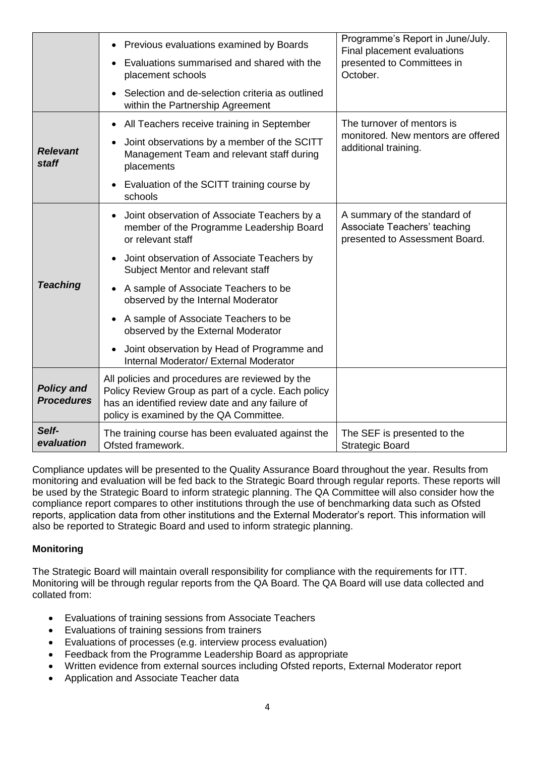|                                        | Previous evaluations examined by Boards<br>$\bullet$                                                                                                                                                  | Programme's Report in June/July.<br>Final placement evaluations                                |
|----------------------------------------|-------------------------------------------------------------------------------------------------------------------------------------------------------------------------------------------------------|------------------------------------------------------------------------------------------------|
|                                        | Evaluations summarised and shared with the<br>placement schools                                                                                                                                       | presented to Committees in<br>October.                                                         |
|                                        | Selection and de-selection criteria as outlined<br>within the Partnership Agreement                                                                                                                   |                                                                                                |
|                                        | All Teachers receive training in September<br>$\bullet$                                                                                                                                               | The turnover of mentors is                                                                     |
| <b>Relevant</b><br><b>staff</b>        | Joint observations by a member of the SCITT<br>Management Team and relevant staff during<br>placements                                                                                                | monitored. New mentors are offered<br>additional training.                                     |
|                                        | Evaluation of the SCITT training course by<br>schools                                                                                                                                                 |                                                                                                |
|                                        | Joint observation of Associate Teachers by a<br>member of the Programme Leadership Board<br>or relevant staff                                                                                         | A summary of the standard of<br>Associate Teachers' teaching<br>presented to Assessment Board. |
| <b>Teaching</b>                        | Joint observation of Associate Teachers by<br>Subject Mentor and relevant staff                                                                                                                       |                                                                                                |
|                                        | A sample of Associate Teachers to be<br>$\bullet$<br>observed by the Internal Moderator                                                                                                               |                                                                                                |
|                                        | A sample of Associate Teachers to be<br>observed by the External Moderator                                                                                                                            |                                                                                                |
|                                        | Joint observation by Head of Programme and<br>$\bullet$<br>Internal Moderator/ External Moderator                                                                                                     |                                                                                                |
| <b>Policy and</b><br><b>Procedures</b> | All policies and procedures are reviewed by the<br>Policy Review Group as part of a cycle. Each policy<br>has an identified review date and any failure of<br>policy is examined by the QA Committee. |                                                                                                |
| Self-<br>evaluation                    | The training course has been evaluated against the<br>Ofsted framework.                                                                                                                               | The SEF is presented to the<br><b>Strategic Board</b>                                          |

Compliance updates will be presented to the Quality Assurance Board throughout the year. Results from monitoring and evaluation will be fed back to the Strategic Board through regular reports. These reports will be used by the Strategic Board to inform strategic planning. The QA Committee will also consider how the compliance report compares to other institutions through the use of benchmarking data such as Ofsted reports, application data from other institutions and the External Moderator's report. This information will also be reported to Strategic Board and used to inform strategic planning.

## **Monitoring**

The Strategic Board will maintain overall responsibility for compliance with the requirements for ITT. Monitoring will be through regular reports from the QA Board. The QA Board will use data collected and collated from:

- Evaluations of training sessions from Associate Teachers
- Evaluations of training sessions from trainers
- Evaluations of processes (e.g. interview process evaluation)
- Feedback from the Programme Leadership Board as appropriate
- Written evidence from external sources including Ofsted reports, External Moderator report
- Application and Associate Teacher data